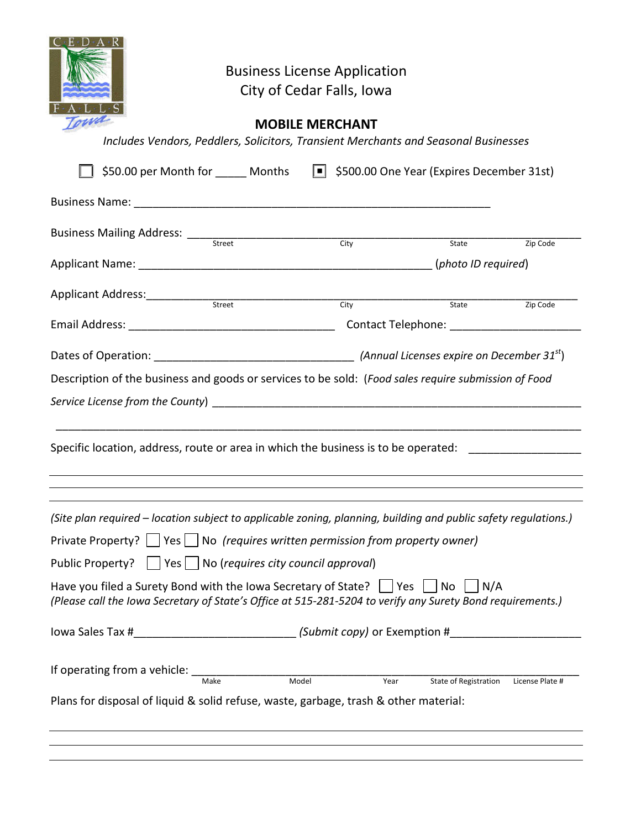|                                                                                                                                                                                                                                                                                                                                                                                                                                                                                                          |                                                                                   |                                | <b>Business License Application</b><br>City of Cedar Falls, Iowa<br><b>MOBILE MERCHANT</b> | Includes Vendors, Peddlers, Solicitors, Transient Merchants and Seasonal Businesses<br>\$50.00 per Month for Months I \$500.00 One Year (Expires December 31st) |          |
|----------------------------------------------------------------------------------------------------------------------------------------------------------------------------------------------------------------------------------------------------------------------------------------------------------------------------------------------------------------------------------------------------------------------------------------------------------------------------------------------------------|-----------------------------------------------------------------------------------|--------------------------------|--------------------------------------------------------------------------------------------|-----------------------------------------------------------------------------------------------------------------------------------------------------------------|----------|
|                                                                                                                                                                                                                                                                                                                                                                                                                                                                                                          |                                                                                   |                                |                                                                                            |                                                                                                                                                                 |          |
|                                                                                                                                                                                                                                                                                                                                                                                                                                                                                                          |                                                                                   |                                |                                                                                            | State                                                                                                                                                           | Zip Code |
|                                                                                                                                                                                                                                                                                                                                                                                                                                                                                                          |                                                                                   |                                |                                                                                            |                                                                                                                                                                 |          |
|                                                                                                                                                                                                                                                                                                                                                                                                                                                                                                          |                                                                                   | Applicant Address: Street City |                                                                                            |                                                                                                                                                                 |          |
|                                                                                                                                                                                                                                                                                                                                                                                                                                                                                                          |                                                                                   |                                |                                                                                            | State                                                                                                                                                           | Zip Code |
| Description of the business and goods or services to be sold: (Food sales require submission of Food<br>Specific location, address, route or area in which the business is to be operated:                                                                                                                                                                                                                                                                                                               |                                                                                   |                                |                                                                                            |                                                                                                                                                                 |          |
| (Site plan required – location subject to applicable zoning, planning, building and public safety regulations.)<br>Private Property?     Yes     No (requires written permission from property owner)<br>$\vert$   Yes $\vert$   No (requires city council approval)<br>Public Property?<br>Have you filed a Surety Bond with the lowa Secretary of State? $\vert$   Yes    <br>N/A<br>No.<br>(Please call the Iowa Secretary of State's Office at 515-281-5204 to verify any Surety Bond requirements.) |                                                                                   |                                |                                                                                            |                                                                                                                                                                 |          |
|                                                                                                                                                                                                                                                                                                                                                                                                                                                                                                          | lowa Sales Tax #_________________________________(Submit copy) or Exemption #____ |                                |                                                                                            |                                                                                                                                                                 |          |
| If operating from a vehicle: ____<br>Model<br>State of Registration<br>Make<br>Year<br>License Plate #<br>Plans for disposal of liquid & solid refuse, waste, garbage, trash & other material:                                                                                                                                                                                                                                                                                                           |                                                                                   |                                |                                                                                            |                                                                                                                                                                 |          |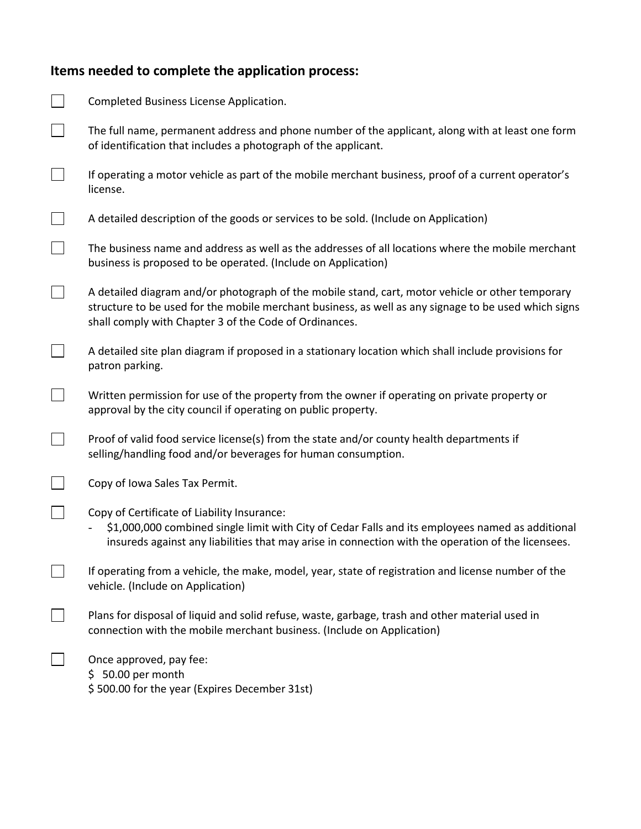## **Items needed to complete the application process:**

| Completed Business License Application.                                                                                                                                                                                                                            |
|--------------------------------------------------------------------------------------------------------------------------------------------------------------------------------------------------------------------------------------------------------------------|
| The full name, permanent address and phone number of the applicant, along with at least one form<br>of identification that includes a photograph of the applicant.                                                                                                 |
| If operating a motor vehicle as part of the mobile merchant business, proof of a current operator's<br>license.                                                                                                                                                    |
| A detailed description of the goods or services to be sold. (Include on Application)                                                                                                                                                                               |
| The business name and address as well as the addresses of all locations where the mobile merchant<br>business is proposed to be operated. (Include on Application)                                                                                                 |
| A detailed diagram and/or photograph of the mobile stand, cart, motor vehicle or other temporary<br>structure to be used for the mobile merchant business, as well as any signage to be used which signs<br>shall comply with Chapter 3 of the Code of Ordinances. |
| A detailed site plan diagram if proposed in a stationary location which shall include provisions for<br>patron parking.                                                                                                                                            |
| Written permission for use of the property from the owner if operating on private property or<br>approval by the city council if operating on public property.                                                                                                     |
| Proof of valid food service license(s) from the state and/or county health departments if<br>selling/handling food and/or beverages for human consumption.                                                                                                         |
| Copy of Iowa Sales Tax Permit.                                                                                                                                                                                                                                     |
| Copy of Certificate of Liability Insurance:<br>\$1,000,000 combined single limit with City of Cedar Falls and its employees named as additional<br>insureds against any liabilities that may arise in connection with the operation of the licensees.              |
| If operating from a vehicle, the make, model, year, state of registration and license number of the<br>vehicle. (Include on Application)                                                                                                                           |
| Plans for disposal of liquid and solid refuse, waste, garbage, trash and other material used in<br>connection with the mobile merchant business. (Include on Application)                                                                                          |
| Once approved, pay fee:<br>$$50.00$ per month<br>\$500.00 for the year (Expires December 31st)                                                                                                                                                                     |